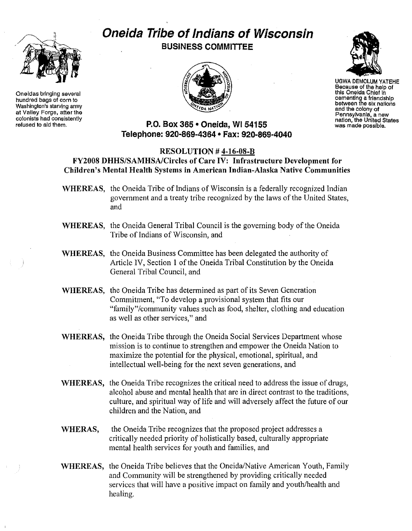

Oneidas bringing several hundred bags of corn to Washington's starving army at Valley Forge, aftar the colonists had consistently refused to aid them.

# **Oneida Tribe of Indians of Wisconsin BUSINESS COMMITTEE**





UGWA DEMOLUM YATEHE Because of the help of this Oneida Chief in cementing a friendship between the six nations and the colony of Pennsylvania, a new nation, the United States was made possible.

## **P.O. Box 365 • Oneida, WI 54155 Telephone:** 920~869-4364 **• Fax: 920-869-4040**

#### RESOLUTION # 4~16-08-B

# FY2008 DHHS/SAMHSAlCircles of Care IV: Infrastructure Development for Children's Mental Health Systems in American Indian-Alaska Native Communities

- WHEREAS, the Oneida Tribe of Indians of Wisconsin is a federally recognized Indian government and a treaty tribe recognized by the laws of the United States, and
- WHEREAS, the Oneida General Tribal Council is the governing body of the Oneida Tribe of Indians of Wisconsin, and
- WHEREAS, the Oneida Business Committee has been delegated the authority of Article IV, Section 1 of the Oneida Tribal Constitution by the Oneida General Tribal Council, and
- WHEREAS, the Oneida Tribe has determined as part of its Seven Generation Commitment, "To develop a provisional system that fits our "family"/community values such as food, shelter, clothing and education as well as other services," and
- WHEREAS, the Oneida Tribe through the Oneida Social Services Department whose mission is to continue to strengthen and empower the Oneida Nation to maximize the potential for the physical, emotional, spiritual, and intellectual well-being for the next seven generations, and
- WHEREAS, the Oneida Tribe recognizes the critical need to address the issue of drugs, alcohol abuse and mental health that are in direct contrast to the traditions, culture, and spiritual way of life and will adversely affect the future of our children and the Nation, and
- WHERAS, the Oneida Tribe recognizes that the proposed project addresses a critically needed priority of holistically based, culturally appropriate mental health services for youth and families, and
- WHEREAS, the Oneida Tribe believes that the Oneida/Native American Youth, Family and Community will be strengthened by providing critically needed services that will have a positive impact on family and youth/health and healing.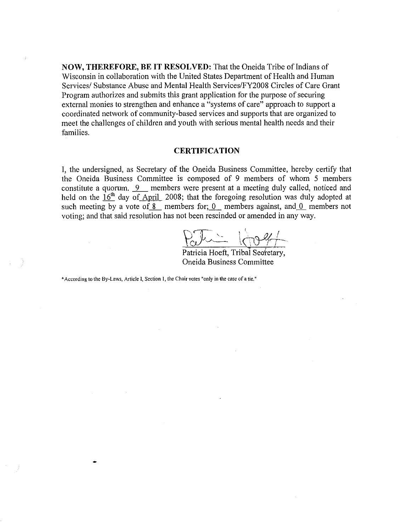**NOW, THEREFORE, BE IT RESOLVED:** That the Oneida Tribe of Indians of Wisconsin in collaboration with the United States Department of Health and Human Services/ Substance Abuse and Mental Health Services/FY2008 Circles of Care Grant Program authorizes and submits this grant application for the purpose of securing external monies to strengthen and enhance a "systems of care" approach to support a coordinated network of community-based services and supports that are organized to meet the challenges of children and youth with serious mental health needs and their families.

#### **CERTIFICATION**

**I,** the undersigned, as Secretary of the Oneida Business Committee, hereby certify that the Oneida Business Committee is composed of 9 members of whom 5 members constitute a quorum.  $9$  members were present at a meeting duly called, noticed and held on the  $16<sup>th</sup>$  day of April 2008; that the foregoing resolution was duly adopted at such meeting by a vote of  $\delta$  members for;  $\theta$  members against, and  $\theta$  members not voting; and that said resolution has not been rescinded or amended in any way.

 $\{\frac{1}{1} \}$ 

Patricia Hoeft, Tribal Seoretary, Oneida Business Committee

\*According to the By-Laws, Article I, Section 1, the Chair votes "only in the case of a tie,"